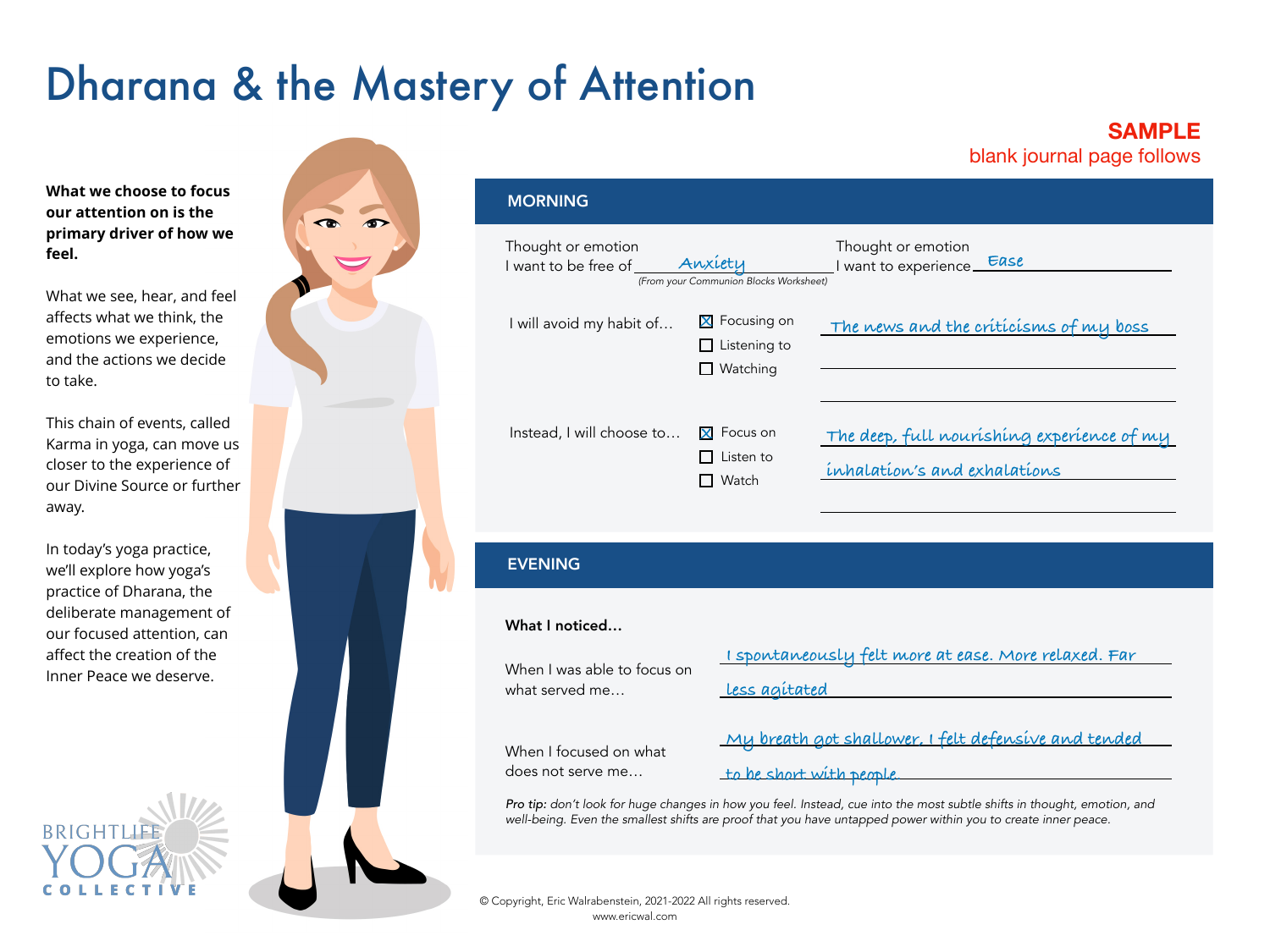# Dharana & the Mastery of Attention

### **SAMPLE**  blank journal page follows

**What we choose to focus our attention on is the primary driver of how we feel.** 

What we see, hear, and feel affects what we think, the emotions we experience, and the actions we decide to take.

This chain of events, called Karma in yoga, can move us closer to the experience of our Divine Source or further away.

In today's yoga practice, we'll explore how yoga's practice of Dharana, the deliberate management of our focused attention, can affect the creation of the Inner Peace we deserve.

**BRIGHT** 



| <b>MORNING</b>                               |                                                   |                                                                            |
|----------------------------------------------|---------------------------------------------------|----------------------------------------------------------------------------|
| Thought or emotion<br>I want to be free of J | Anxiety<br>(From your Communion Blocks Worksheet) | Thought or emotion<br>want to experience Ease                              |
| I will avoid my habit of                     | X Focusing on<br>Listening to<br>Watching         | The news and the criticisms of my boss                                     |
| Instead, I will choose to                    | <b>X</b> Focus on<br>Listen to<br>Watch           | The deep, full nourishing experience of my<br>inhalation's and exhalations |

### EVENING

#### What I noticed…

|                                               | I spontaneously felt more at ease. More relaxed. Far |  |  |
|-----------------------------------------------|------------------------------------------------------|--|--|
| When I was able to focus on<br>what served me | Less agitated                                        |  |  |
| When I focused on what                        | My breath got shallower, I felt defensive and tended |  |  |
| does not serve me                             | to be short with people.                             |  |  |

*Pro tip: don't look for huge changes in how you feel. Instead, cue into the most subtle shifts in thought, emotion, and well-being. Even the smallest shifts are proof that you have untapped power within you to create inner peace.*